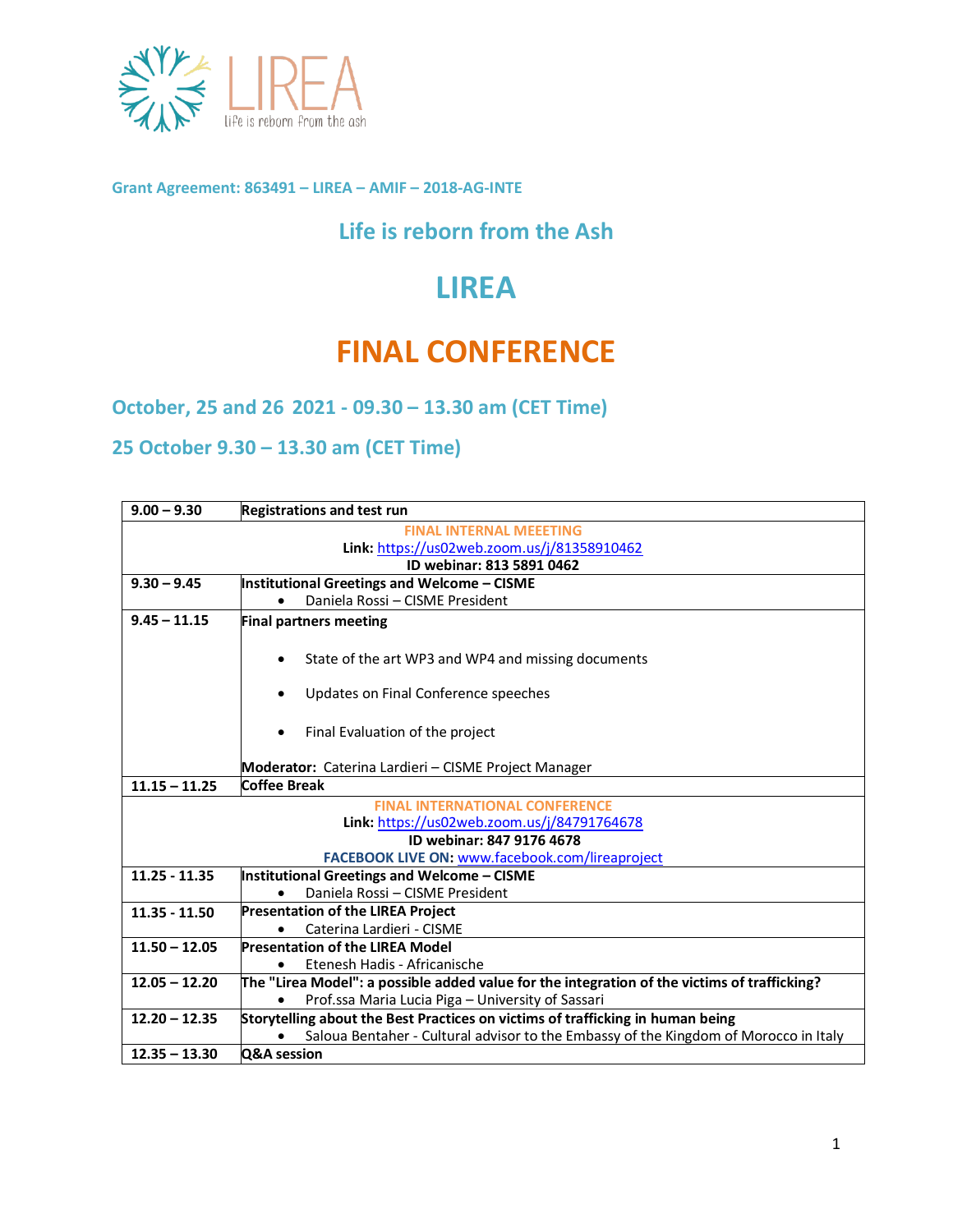

**Grant Agreement: 863491 – LIREA – AMIF – 2018-AG-INTE**

## **Life is reborn from the Ash**

## **LIREA**

## **FINAL CONFERENCE**

**October, 25 and 26 2021 - 09.30 – 13.30 am (CET Time)**

**25 October 9.30 – 13.30 am (CET Time)**

| $9.00 - 9.30$                                   | <b>Registrations and test run</b>                                                            |
|-------------------------------------------------|----------------------------------------------------------------------------------------------|
| <b>FINAL INTERNAL MEEETING</b>                  |                                                                                              |
| Link: https://us02web.zoom.us/j/81358910462     |                                                                                              |
| ID webinar: 813 5891 0462                       |                                                                                              |
| $9.30 - 9.45$                                   | <b>Institutional Greetings and Welcome - CISME</b>                                           |
|                                                 | Daniela Rossi - CISME President                                                              |
| $9.45 - 11.15$                                  | <b>Final partners meeting</b>                                                                |
|                                                 |                                                                                              |
|                                                 | State of the art WP3 and WP4 and missing documents                                           |
|                                                 | Updates on Final Conference speeches<br>٠                                                    |
|                                                 |                                                                                              |
|                                                 | Final Evaluation of the project<br>٠                                                         |
|                                                 | Moderator: Caterina Lardieri - CISME Project Manager                                         |
| $11.15 - 11.25$                                 | <b>Coffee Break</b>                                                                          |
|                                                 | <b>FINAL INTERNATIONAL CONFERENCE</b>                                                        |
|                                                 | Link: https://us02web.zoom.us/j/84791764678                                                  |
|                                                 | ID webinar: 847 9176 4678                                                                    |
| FACEBOOK LIVE ON: www.facebook.com/lireaproject |                                                                                              |
| $11.25 - 11.35$                                 | <b>Institutional Greetings and Welcome - CISME</b>                                           |
|                                                 | Daniela Rossi - CISME President                                                              |
| $11.35 - 11.50$                                 | <b>Presentation of the LIREA Project</b>                                                     |
|                                                 | Caterina Lardieri - CISME                                                                    |
| $11.50 - 12.05$                                 | <b>Presentation of the LIREA Model</b>                                                       |
|                                                 | Etenesh Hadis - Africanische                                                                 |
| $12.05 - 12.20$                                 | The "Lirea Model": a possible added value for the integration of the victims of trafficking? |
|                                                 | Prof.ssa Maria Lucia Piga - University of Sassari                                            |
| $12.20 - 12.35$                                 | Storytelling about the Best Practices on victims of trafficking in human being               |
|                                                 | Saloua Bentaher - Cultural advisor to the Embassy of the Kingdom of Morocco in Italy         |
| $12.35 - 13.30$                                 | Q&A session                                                                                  |